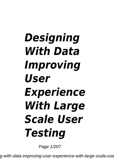## *Designing With Data Improving User Experience With Large Scale User Testing*

Page 1/207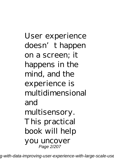User experience doesn't happen on a screen; it happens in the mind, and the experience is multidimensional and multisensory. This practical book will help you uncover Page 2/207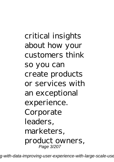critical insights about how your customers think so you can create products or services with an exceptional experience. Corporate leaders, marketers, product owners, Page 3/207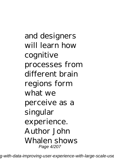and designers will learn how cognitive processes from different brain regions form what we perceive as a singular experience. Author John Whalen shows Page 4/207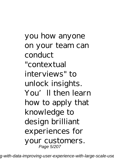you how anyone on your team can conduct "contextual interviews" to unlock insights. You'll then learn how to apply that knowledge to design brilliant experiences for your customers. Page 5/207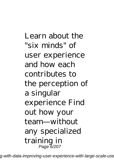Learn about the "six minds" of user experience and how each contributes to the perception of a singular experience Find out how your team—without any specialized training in Page 6/207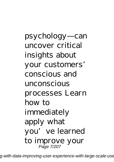psychology—can uncover critical insights about your customers' conscious and unconscious processes Learn how to immediately apply what you've learned to improve your Page 7/207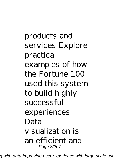products and services Explore practical examples of how the Fortune 100 used this system to build highly successful experiences Data visualization is an efficient and Page 8/207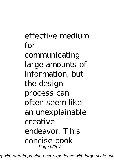## effective medium for communicating large amounts of information, but the design process can often seem like an unexplainable creative endeavor. This concise book Page 9/207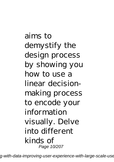aims to demystify the design process by showing you how to use a linear decisionmaking process to encode your information visually. Delve into different kinds of Page 10/207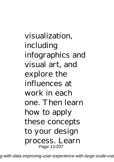visualization, including infographics and visual art, and explore the influences at work in each one. Then learn how to apply these concepts to your design process. Learn Page 11/207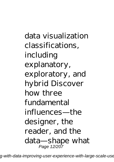data visualization classifications, including explanatory, exploratory, and hybrid Discover how three fundamental influences—the designer, the reader, and the data—shape what Page 12/207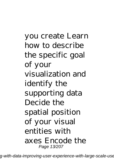you create Learn how to describe the specific goal of your visualization and identify the supporting data Decide the spatial position of your visual entities with axes Encode the Page 13/207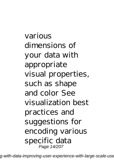various dimensions of your data with appropriate visual properties, such as shape and color See visualization best practices and suggestions for encoding various specific data Page 14/207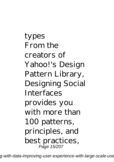types From the creators of Yahoo!'s Design Pattern Library, Designing Social **Interfaces** provides you with more than 100 patterns, principles, and best practices, Page 15/207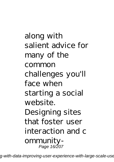along with salient advice for many of the common challenges you'll face when starting a social website. Designing sites that foster user interaction and c ommunity-Page 16/207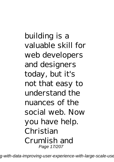building is a valuable skill for web developers and designers today, but it's not that easy to understand the nuances of the social web. Now you have help. Christian Crumlish and Page 17/207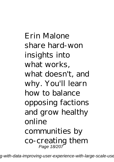Erin Malone share hard-won insights into what works, what doesn't, and why. You'll learn how to balance opposing factions and grow healthy online communities by co-creating them Page 18/207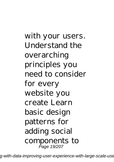with your users. Understand the overarching principles you need to consider for every website you create Learn basic design patterns for adding social components to Page 19/207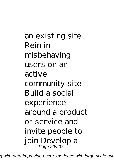an existing site Rein in misbehaving users on an active community site Build a social experience around a product or service and invite people to join Develop a Page 20/207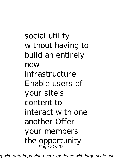social utility without having to build an entirely new infrastructure Enable users of your site's content to interact with one another Offer your members the opportunity Page 21/207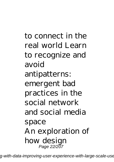to connect in the real world Learn to recognize and avoid antipatterns: emergent bad practices in the social network and social media space An exploration of how design Page 22/207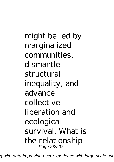might be led by marginalized communities, dismantle structural inequality, and advance collective liberation and ecological survival. What is the relationship Page 23/207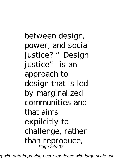between design, power, and social justice? "Design justice" is an approach to design that is led by marginalized communities and that aims expilcitly to challenge, rather than reproduce, Page 24/207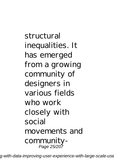structural inequalities. It has emerged from a growing community of designers in various fields who work closely with social movements and community-Page 25/207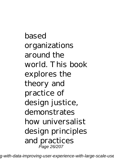based organizations around the world. This book explores the theory and practice of design justice, demonstrates how universalist design principles and practices Page 26/207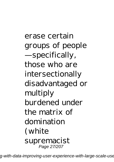erase certain groups of people —specifically, those who are intersectionally disadvantaged or multiply burdened under the matrix of domination (white supremacist Page 27/207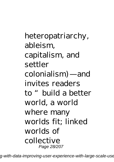heteropatriarchy, ableism, capitalism, and settler colonialism)—and invites readers to "build a better world, a world where many worlds fit; linked worlds of collective Page 28/207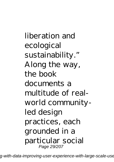liberation and ecological sustainability." Along the way, the book documents a multitude of realworld communityled design practices, each grounded in a particular social Page 29/207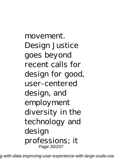movement. Design Justice goes beyond recent calls for design for good, user-centered design, and employment diversity in the technology and design professions; it Page 30/207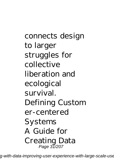connects design to larger struggles for collective liberation and ecological survival. Defining Custom er-centered Systems A Guide for Creating Data Page 31/207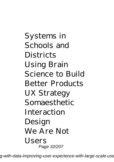Systems in Schools and **Districts** Using Brain Science to Build Better Products UX Strategy Somaesthetic Interaction Design We Are Not Users Page 32/207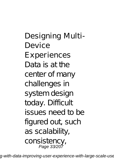Designing Multi-Device Experiences Data is at the center of many challenges in system design today. Difficult issues need to be figured out, such as scalability, consistency, Page 33/207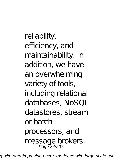reliability, efficiency, and maintainability. In addition, we have an overwhelming variety of tools, including relational databases, NoSQL datastores, stream or batch processors, and message brokers.<br>Page 34/207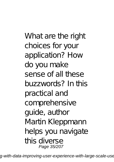What are the right choices for your application? How do you make sense of all these buzzwords? In this practical and comprehensive guide, author Martin Kleppmann helps you navigate this diverse Page 35/207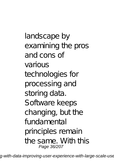landscape by examining the pros and cons of various technologies for processing and storing data. Software keeps changing, but the fundamental principles remain the same. With this Page 36/207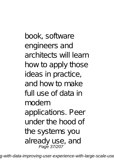book, software engineers and architects will learn how to apply those ideas in practice, and how to make full use of data in modern applications. Peer under the hood of the systems you already use, and Page 37/207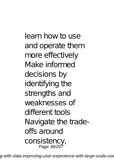learn how to use and operate them more effectively Make informed decisions by identifying the strengths and weaknesses of different tools Navigate the tradeoffs around consistency, Page 38/207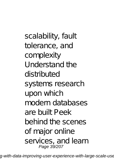scalability, fault tolerance, and complexity Understand the distributed systems research upon which modern databases are built Peek behind the scenes of major online services, and learn Page 39/207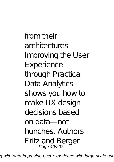from their architectures Improving the User Experience through Practical Data Analytics shows you how to make UX design decisions based on data—not hunches. Authors Fritz and Berger Page 40/207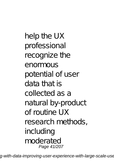help the UX professional recognize the enormous potential of user data that is collected as a natural by-product of routine UX research methods, including moderated Page 41/207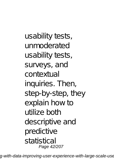usability tests, unmoderated usability tests, surveys, and contextual inquiries. Then, step-by-step, they explain how to utilize both descriptive and predictive statistical Page 42/207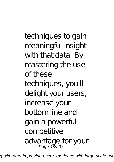techniques to gain meaningful insight with that data. By mastering the use of these techniques, you'll delight your users, increase your bottom line and gain a powerful competitive advantage for your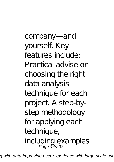company—and yourself. Key features include: Practical advise on choosing the right data analysis technique for each project. A step-bystep methodology for applying each technique, including examples Page 44/207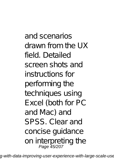and scenarios drawn from the UX field. Detailed screen shots and instructions for performing the techniques using Excel (both for PC and Mac) and SPSS. Clear and concise guidance on interpreting the<br>Page 45/207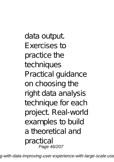data output. Exercises to practice the techniques Practical guidance on choosing the right data analysis technique for each project. Real-world examples to build a theoretical and practical Page 46/207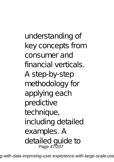understanding of key concepts from consumer and financial verticals. A step-by-step methodology for applying each predictive technique, including detailed examples. A detailed guide to Page 47/207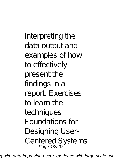interpreting the data output and examples of how to effectively present the findings in a report. Exercises to learn the techniques Foundations for Designing User-Centered Systems Page 48/207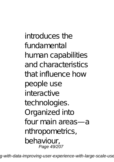introduces the fundamental human capabilities and characteristics that influence how people use interactive technologies. Organized into four main areas—a nthropometrics, behaviour, Page 49/207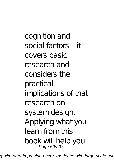cognition and social factors—it covers basic research and considers the practical implications of that research on system design. Applying what you learn from this book will help you Page 50/207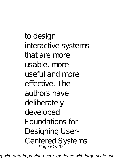to design interactive systems that are more usable, more useful and more effective. The authors have deliberately developed Foundations for Designing User-Centered Systems Page 51/207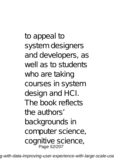to appeal to system designers and developers, as well as to students who are taking courses in system design and HCI. The book reflects the authors' backgrounds in computer science, cognitive science, Page 52/207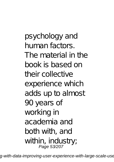psychology and human factors. The material in the book is based on their collective experience which adds up to almost 90 years of working in academia and both with, and within, industry;<br>Page 53/207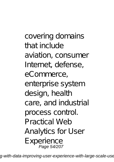covering domains that include aviation, consumer Internet, defense, eCommerce, enterprise system design, health care, and industrial process control. Practical Web Analytics for User Experience Page 54/207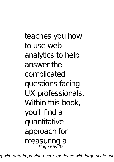teaches you how to use web analytics to help answer the complicated questions facing UX professionals. Within this book, you'll find a quantitative approach for measuring a Page 55/207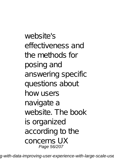website's effectiveness and the methods for posing and answering specific questions about how users navigate a website. The book is organized according to the concerns UX Page 56/207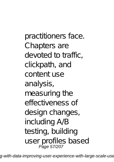practitioners face. Chapters are devoted to traffic, clickpath, and content use analysis, measuring the effectiveness of design changes, including A/B testing, building user profiles based Page 57/207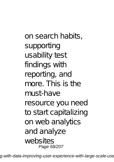on search habits, supporting usability test findings with reporting, and more. This is the must-have resource you need to start capitalizing on web analytics and analyze websites Page 58/207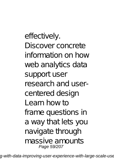effectively. Discover concrete information on how web analytics data support user research and usercentered design Learn how to frame questions in a way that lets you navigate through massive amounts Page 59/207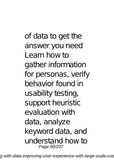of data to get the answer you need Learn how to gather information for personas, verify behavior found in usability testing, support heuristic evaluation with data, analyze keyword data, and understand how to Page 60/207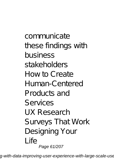communicate these findings with business stakeholders How to Create Human-Centered Products and Services UX Research Surveys That Work Designing Your Life Page 61/207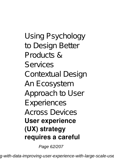Using Psychology to Design Better Products & Services Contextual Design An Ecosystem Approach to User Experiences Across Devices **User experience (UX) strategy requires a careful**

Page 62/207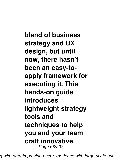**blend of business strategy and UX design, but until now, there hasn't been an easy-toapply framework for executing it. This hands-on guide introduces lightweight strategy tools and techniques to help you and your team craft innovative** Page 63/207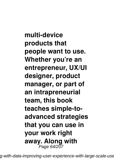**multi-device products that people want to use. Whether you're an entrepreneur, UX/UI designer, product manager, or part of an intrapreneurial team, this book teaches simple-toadvanced strategies that you can use in your work right away. Along with** Page 64/207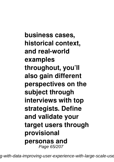**business cases, historical context, and real-world examples throughout, you'll also gain different perspectives on the subject through interviews with top strategists. Define and validate your target users through provisional personas and** Page 65/207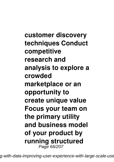**customer discovery techniques Conduct competitive research and analysis to explore a crowded marketplace or an opportunity to create unique value Focus your team on the primary utility and business model of your product by running structured** Page 66/207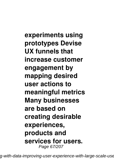**experiments using prototypes Devise UX funnels that increase customer engagement by mapping desired user actions to meaningful metrics Many businesses are based on creating desirable experiences, products and services for users.** Page 67/207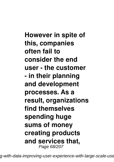**However in spite of this, companies often fail to consider the end user - the customer - in their planning and development processes. As a result, organizations find themselves spending huge sums of money creating products and services that,** Page 68/207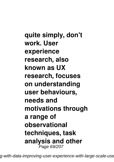**quite simply, don't work. User experience research, also known as UX research, focuses on understanding user behaviours, needs and motivations through a range of observational techniques, task analysis and other** Page 69/207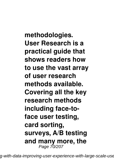**methodologies. User Research is a practical guide that shows readers how to use the vast array of user research methods available. Covering all the key research methods including face-toface user testing, card sorting, surveys, A/B testing and many more, the** Page 70/207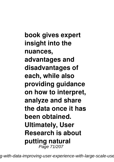**book gives expert insight into the nuances, advantages and disadvantages of each, while also providing guidance on how to interpret, analyze and share the data once it has been obtained. Ultimately, User Research is about putting natural** Page 71/207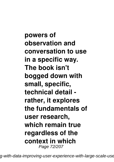**powers of observation and conversation to use in a specific way. The book isn't bogged down with small, specific, technical detail rather, it explores the fundamentals of user research, which remain true regardless of the context in which** Page 72/207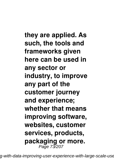**they are applied. As such, the tools and frameworks given here can be used in any sector or industry, to improve any part of the customer journey and experience; whether that means improving software, websites, customer services, products, packaging or more.** Page 73/207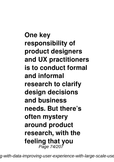**One key responsibility of product designers and UX practitioners is to conduct formal and informal research to clarify design decisions and business needs. But there's often mystery around product research, with the feeling that you** Page 74/207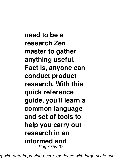**need to be a research Zen master to gather anything useful. Fact is, anyone can conduct product research. With this quick reference guide, you'll learn a common language and set of tools to help you carry out research in an informed and** Page 75/207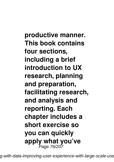**productive manner. This book contains four sections, including a brief introduction to UX research, planning and preparation, facilitating research, and analysis and reporting. Each chapter includes a short exercise so you can quickly apply what you've** Page 76/207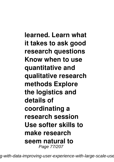**learned. Learn what it takes to ask good research questions Know when to use quantitative and qualitative research methods Explore the logistics and details of coordinating a research session Use softer skills to make research seem natural to** Page 77/207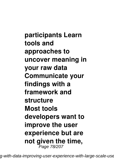**participants Learn tools and approaches to uncover meaning in your raw data Communicate your findings with a framework and structure Most tools developers want to improve the user experience but are not given the time,** Page 78/207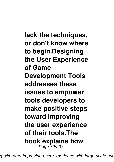**lack the techniques, or don't know where to begin.Designing the User Experience of Game Development Tools addresses these issues to empower tools developers to make positive steps toward improving the user experience of their tools.The book explains how** Page 79/207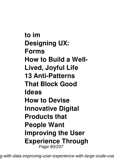**to im Designing UX: Forms How to Build a Well-Lived, Joyful Life 13 Anti-Patterns That Block Good Ideas How to Devise Innovative Digital Products that People Want Improving the User Experience Through** Page 80/207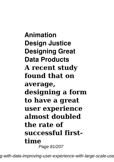**Animation Design Justice Designing Great Data Products A recent study found that on average, designing a form to have a great user experience almost doubled the rate of successful firsttime** Page 81/207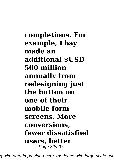**completions. For example, Ebay made an additional \$USD 500 million annually from redesigning just the button on one of their mobile form screens. More conversions, fewer dissatisfied users, better** Page 82/207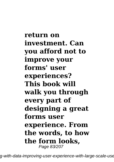**return on investment. Can you afford not to improve your forms' user experiences? This book will walk you through every part of designing a great forms user experience. From the words, to how the form looks,** Page 83/207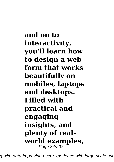**and on to interactivity, you'll learn how to design a web form that works beautifully on mobiles, laptops and desktops. Filled with practical and engaging insights, and plenty of realworld examples,** Page 84/207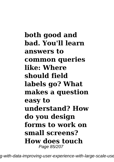**both good and bad. You'll learn answers to common queries like: Where should field labels go? What makes a question easy to understand? How do you design forms to work on small screens? How does touch** Page 85/207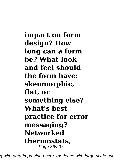**impact on form design? How long can a form be? What look and feel should the form have: skeumorphic, flat, or something else? What's best practice for error messaging? Networked thermostats,** Page 86/207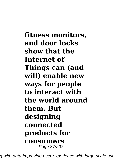**fitness monitors, and door locks show that the Internet of Things can (and will) enable new ways for people to interact with the world around them. But designing connected products for consumers** Page 87/207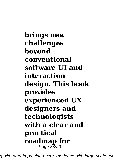**brings new challenges beyond conventional software UI and interaction design. This book provides experienced UX designers and technologists with a clear and practical roadmap for** Page 88/207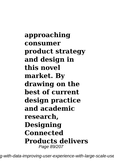**approaching consumer product strategy and design in this novel market. By drawing on the best of current design practice and academic research, Designing Connected Products delivers** Page 89/207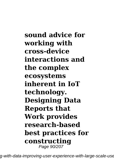**sound advice for working with cross-device interactions and the complex ecosystems inherent in IoT technology. Designing Data Reports that Work provides research-based best practices for constructing** Page 90/207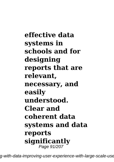**effective data systems in schools and for designing reports that are relevant, necessary, and easily understood. Clear and coherent data systems and data reports significantly** Page 91/207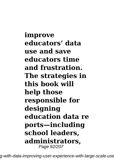**improve educators' data use and save educators time and frustration. The strategies in this book will help those responsible for designing education data re ports—including school leaders, administrators,** Page 92/207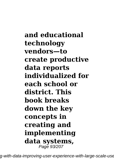**and educational technology vendors—to create productive data reports individualized for each school or district. This book breaks down the key concepts in creating and implementing data systems,** Page 93/207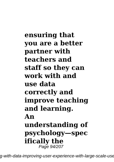**ensuring that you are a better partner with teachers and staff so they can work with and use data correctly and improve teaching and learning. An understanding of psychology—spec ifically the** Page 94/207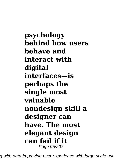**psychology behind how users behave and interact with digital interfaces—is perhaps the single most valuable nondesign skill a designer can have. The most elegant design can fail if it** Page 95/207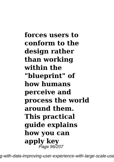**forces users to conform to the design rather than working within the "blueprint" of how humans perceive and process the world around them. This practical guide explains how you can apply key** Page 96/207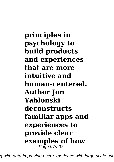**principles in psychology to build products and experiences that are more intuitive and human-centered. Author Jon Yablonski deconstructs familiar apps and experiences to provide clear examples of how** Page 97/207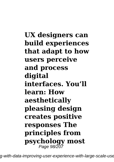**UX designers can build experiences that adapt to how users perceive and process digital interfaces. You'll learn: How aesthetically pleasing design creates positive responses The principles from psychology most** Page 98/207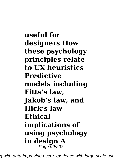**useful for designers How these psychology principles relate to UX heuristics Predictive models including Fitts's law, Jakob's law, and Hick's law Ethical implications of using psychology in design A** Page 99/207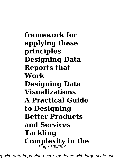**framework for applying these principles Designing Data Reports that Work Designing Data Visualizations A Practical Guide to Designing Better Products and Services Tackling Complexity in the** Page 100/207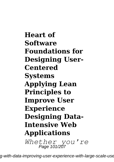**Heart of Software Foundations for Designing User-Centered Systems Applying Lean Principles to Improve User Experience Designing Data-Intensive Web Applications** *Whether you're* Page 101/207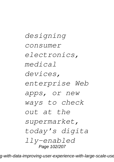*designing consumer electronics, medical devices, enterprise Web apps, or new ways to check out at the supermarket, today's digita lly-enabled* Page 102/207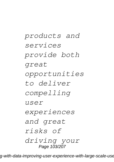*products and services provide both great opportunities to deliver compelling*  $\overline{U}$  $S$  $\ominus$  $\overline{r}$ *experiences and great risks of driving your* Page 103/207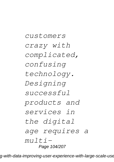*customers crazy with complicated, confusing technology. Designing successful products and services in the digital age requires a multi-*Page 104/207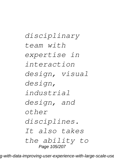*disciplinary team with expertise in interaction design, visual design, industrial design, and other disciplines. It also takes the ability to* Page 105/207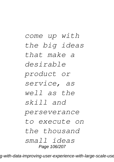*come up with the big ideas that make a desirable product or service, as well as the skill and perseverance to execute on the thousand small ideas* Page 106/207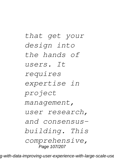*that get your design into the hands of users. It requires expertise in project management, user research, and consensusbuilding. This comprehensive,* Page 107/207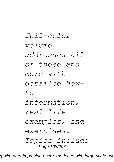*full-color volume addresses all of these and more with detailed howto information, real-life examples, and exercises. Topics include* Page 108/207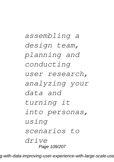*assembling a design team, planning and conducting user research, analyzing your data and turning it into personas, using scenarios to drive* Page 109/207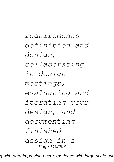*requirements definition and design, collaborating in design meetings, evaluating and iterating your design, and documenting finished design in a* Page 110/207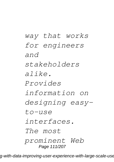*way that works for engineers and stakeholders alike. Provides information on designing easyto-use interfaces. The most prominent Web* Page 111/207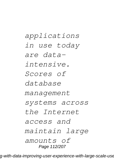*applications in use today are dataintensive. Scores of database management systems across the Internet access and maintain large amounts of* Page 112/207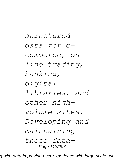*structured data for ecommerce, online trading, banking, digital libraries, and other highvolume sites. Developing and maintaining these data-*Page 113/207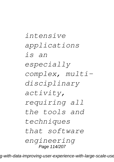*intensive applications is an especially complex, multidisciplinary activity, requiring all the tools and techniques that software engineering* Page 114/207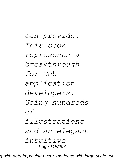*can provide. This book represents a breakthrough for Web application developers. Using hundreds of illustrations and an elegant intuitive* Page 115/207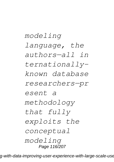## *modeling language, the authors—all in ternationallyknown database researchers—pr esent a methodology that fully exploits the conceptual modeling* Page 116/207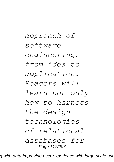*approach of software engineering, from idea to application. Readers will learn not only how to harness the design technologies of relational databases for* Page 117/207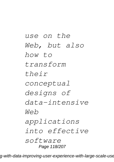*use on the Web, but also how to transform their conceptual designs of data-intensive Web applications into effective software* Page 118/207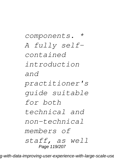*components. \* A fully selfcontained introduction and practitioner's guide suitable for both technical and non-technical members of staff, as well* Page 119/207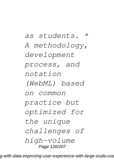*as students. \* A methodology, development process, and notation (WebML) based on common practice but optimized for the unique challenges of high-volume* Page 120/207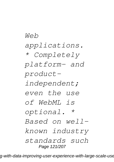*Web applications. \* Completely platform- and productindependent; even the use of WebML is optional. \* Based on wellknown industry standards such* Page 121/207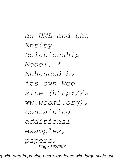*as UML and the Entity Relationship Model. \* Enhanced by its own Web site (http://w ww.webml.org), containing additional examples, papers,* Page 122/207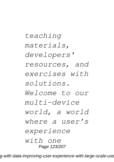*teaching materials, developers' resources, and exercises with solutions. Welcome to our multi-device world, a world where a user's experience with one* Page 123/207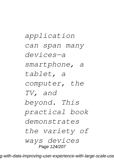*application can span many devices—a smartphone, a tablet, a computer, the TV, and beyond. This practical book demonstrates the variety of ways devices* Page 124/207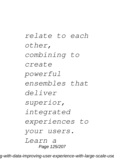*relate to each other, combining to create powerful ensembles that deliver superior, integrated experiences to your users. Learn a* Page 125/207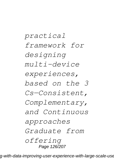*practical framework for designing multi-device experiences, based on the 3 Cs—Consistent, Complementary, and Continuous approaches Graduate from offering* Page 126/207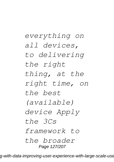*everything on all devices, to delivering the right thing, at the right time, on the best (available) device Apply the 3Cs framework to the broader* Page 127/207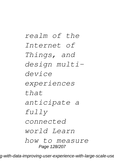*realm of the Internet of Things, and design multidevice experiences that anticipate a fully connected world Learn how to measure* Page 128/207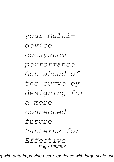*your multidevice ecosystem performance Get ahead of the curve by designing for a more connected future Patterns for Effective* Page 129/207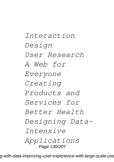*Interaction Design User Research A Web for Everyone Creating Products and Services for Better Health Designing Data-Intensive Applications* Page 130/207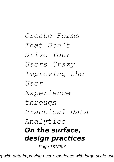*Create Forms That Don't Drive Your Users Crazy Improving the User Experience through Practical Data Analytics On the surface, design practices*

Page 131/207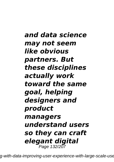*and data science may not seem like obvious partners. But these disciplines actually work toward the same goal, helping designers and product managers understand users so they can craft elegant digital* Page 132/207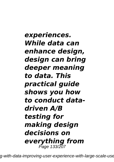*experiences. While data can enhance design, design can bring deeper meaning to data. This practical guide shows you how to conduct datadriven A/B testing for making design decisions on everything from* Page 133/207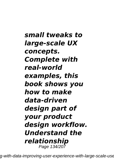*small tweaks to large-scale UX concepts. Complete with real-world examples, this book shows you how to make data-driven design part of your product design workflow. Understand the relationship* Page 134/207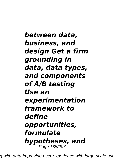*between data, business, and design Get a firm grounding in data, data types, and components of A/B testing Use an experimentation framework to define opportunities, formulate hypotheses, and* Page 135/207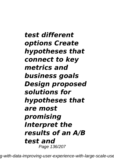*test different options Create hypotheses that connect to key metrics and business goals Design proposed solutions for hypotheses that are most promising Interpret the results of an A/B test and* Page 136/207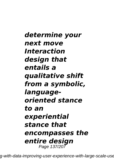## *determine your next move Interaction design that entails a qualitative shift from a symbolic, languageoriented stance to an experiential stance that encompasses the entire design* Page 137/207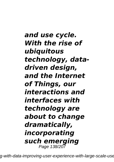*and use cycle. With the rise of ubiquitous technology, datadriven design, and the Internet of Things, our interactions and interfaces with technology are about to change dramatically, incorporating such emerging* Page 138/207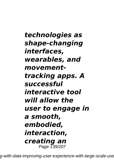*technologies as shape-changing interfaces, wearables, and movementtracking apps. A successful interactive tool will allow the user to engage in a smooth, embodied, interaction, creating an* Page 139/207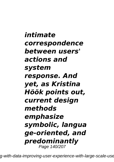*intimate correspondence between users' actions and system response. And yet, as Kristina Höök points out, current design methods emphasize symbolic, langua ge-oriented, and predominantly* Page 140/207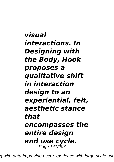*visual interactions. In Designing with the Body, Höök proposes a qualitative shift in interaction design to an experiential, felt, aesthetic stance that encompasses the entire design and use cycle.* Page 141/207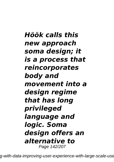*Höök calls this new approach soma design; it is a process that reincorporates body and movement into a design regime that has long privileged language and logic. Soma design offers an alternative to* Page 142/207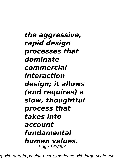*the aggressive, rapid design processes that dominate commercial interaction design; it allows (and requires) a slow, thoughtful process that takes into account fundamental human values.* Page 143/207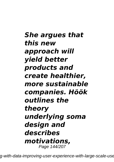*She argues that this new approach will yield better products and create healthier, more sustainable companies. Höök outlines the theory underlying soma design and describes motivations,* Page 144/207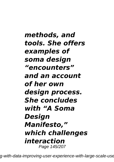*methods, and tools. She offers examples of soma design "encounters" and an account of her own design process. She concludes with "A Soma Design Manifesto," which challenges interaction* Page 145/207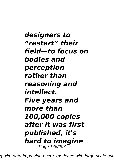*designers to "restart" their field—to focus on bodies and perception rather than reasoning and intellect. Five years and more than 100,000 copies after it was first published, it's hard to imagine* Page 146/207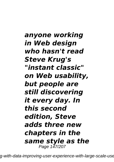*anyone working in Web design who hasn't read Steve Krug's "instant classic" on Web usability, but people are still discovering it every day. In this second edition, Steve adds three new chapters in the same style as the* Page 147/207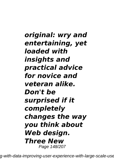*original: wry and entertaining, yet loaded with insights and practical advice for novice and veteran alike. Don't be surprised if it completely changes the way you think about Web design. Three New* Page 148/207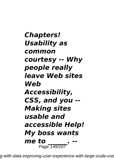*Chapters! Usability as common courtesy -- Why people really leave Web sites Web Accessibility, CSS, and you -- Making sites usable and accessible Help! My boss wants me to \_\_\_\_\_\_. --* Page 149/207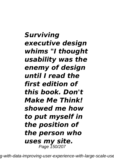## *Surviving executive design whims "I thought usability was the enemy of design until I read the first edition of this book. Don't Make Me Think! showed me how to put myself in the position of the person who uses my site.* Page 150/207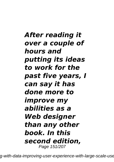*After reading it over a couple of hours and putting its ideas to work for the past five years, I can say it has done more to improve my abilities as a Web designer than any other book. In this second edition,* Page 151/207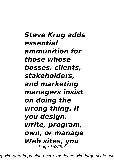*Steve Krug adds essential ammunition for those whose bosses, clients, stakeholders, and marketing managers insist on doing the wrong thing. If you design, write, program, own, or manage Web sites, you* Page 152/207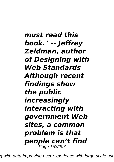*must read this book." -- Jeffrey Zeldman, author of Designing with Web Standards Although recent findings show the public increasingly interacting with government Web sites, a common problem is that people can't find* Page 153/207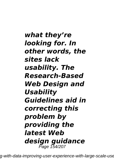*what they're looking for. In other words, the sites lack usability. The Research-Based Web Design and Usability Guidelines aid in correcting this problem by providing the latest Web design guidance* Page 154/207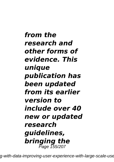*from the research and other forms of evidence. This unique publication has been updated from its earlier version to include over 40 new or updated research guidelines, bringing the* Page 155/207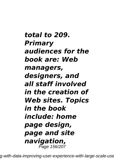*total to 209. Primary audiences for the book are: Web managers, designers, and all staff involved in the creation of Web sites. Topics in the book include: home page design, page and site navigation,* Page 156/207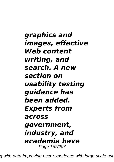*graphics and images, effective Web content writing, and search. A new section on usability testing guidance has been added. Experts from across government, industry, and academia have* Page 157/207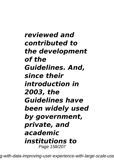*reviewed and contributed to the development of the Guidelines. And, since their introduction in 2003, the Guidelines have been widely used by government, private, and academic institutions to* Page 158/207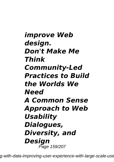*improve Web design. Don't Make Me Think Community-Led Practices to Build the Worlds We Need A Common Sense Approach to Web Usability Dialogues, Diversity, and Design* Page 159/207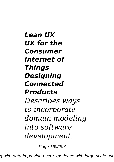*Lean UX UX for the Consumer Internet of Things Designing Connected Products Describes ways to incorporate domain modeling into software development.*

Page 160/207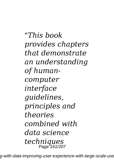*"This book provides chapters that demonstrate an understanding of humancomputer interface guidelines, principles and theories combined with data science techniques* Page 161/207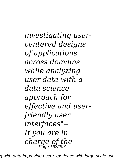*investigating usercentered designs of applications across domains while analyzing user data with a data science approach for effective and userfriendly user interfaces"-- If you are in charge of the* Page 162/207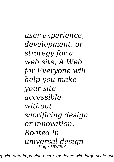*user experience, development, or strategy for a web site, A Web for Everyone will help you make your site accessible without sacrificing design or innovation. Rooted in universal design* Page 163/207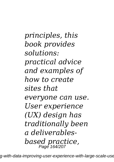*principles, this book provides solutions: practical advice and examples of how to create sites that everyone can use. User experience (UX) design has traditionally been a deliverablesbased practice,* Page 164/207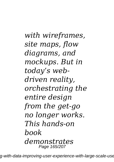*with wireframes, site maps, flow diagrams, and mockups. But in today's webdriven reality, orchestrating the entire design from the get-go no longer works. This hands-on book demonstrates* Page 165/207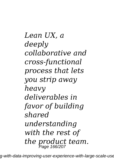*Lean UX, a deeply collaborative and cross-functional process that lets you strip away heavy deliverables in favor of building shared understanding with the rest of the product team.* Page 166/207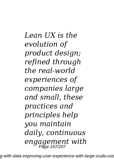*Lean UX is the evolution of product design; refined through the real-world experiences of companies large and small, these practices and principles help you maintain daily, continuous engagement with* Page 167/207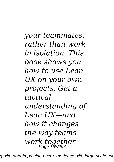*your teammates, rather than work in isolation. This book shows you how to use Lean UX on your own projects. Get a tactical understanding of Lean UX—and how it changes the way teams work together* Page 168/207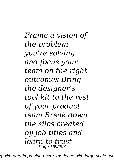*Frame a vision of the problem you're solving and focus your team on the right outcomes Bring the designer's tool kit to the rest of your product team Break down the silos created by job titles and learn to trust* Page 169/207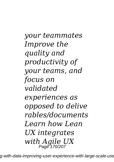*your teammates Improve the quality and productivity of your teams, and focus on validated experiences as opposed to delive rables/documents Learn how Lean UX integrates with Agile UX* Page 170/207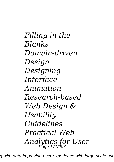*Filling in the Blanks Domain-driven Design Designing Interface Animation Research-based Web Design & Usability Guidelines Practical Web Analytics for User* Page 171/207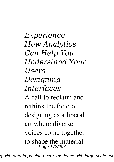*Experience How Analytics Can Help You Understand Your Users Designing Interfaces* A call to reclaim and rethink the field of designing as a liberal art where diverse voices come together to shape the material Page 172/207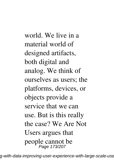world. We live in a material world of designed artifacts, both digital and analog. We think of ourselves as users; the platforms, devices, or objects provide a service that we can use. But is this really the case? We Are Not Users argues that people cannot be Page 173/207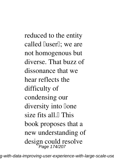reduced to the entity called *luser<sup>l</sup>*; we are not homogenous but diverse. That buzz of dissonance that we hear reflects the difficulty of condensing our diversity into lone size fits all. $\blacksquare$  This book proposes that a new understanding of design could resolve Page 174/207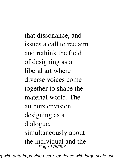that dissonance, and issues a call to reclaim and rethink the field of designing as a liberal art where diverse voices come together to shape the material world. The authors envision designing as a dialogue, simultaneously about the individual and the Page 175/207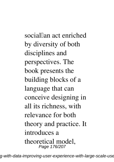sociallan act enriched by diversity of both disciplines and perspectives. The book presents the building blocks of a language that can conceive designing in all its richness, with relevance for both theory and practice. It introduces a theoretical model, Page 176/207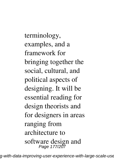terminology, examples, and a framework for bringing together the social, cultural, and political aspects of designing. It will be essential reading for design theorists and for designers in areas ranging from architecture to software design and Page 177/207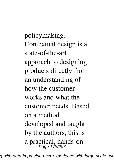policymaking. Contextual design is a state-of-the-art approach to designing products directly from an understanding of how the customer works and what the customer needs. Based on a method developed and taught by the authors, this is a practical, hands-on Page 178/207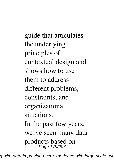guide that articulates the underlying principles of contextual design and shows how to use them to address different problems, constraints, and organizational situations. In the past few years, wellve seen many data products based on Page 179/207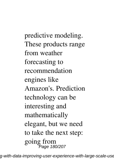predictive modeling. These products range from weather forecasting to recommendation engines like Amazon's. Prediction technology can be interesting and mathematically elegant, but we need to take the next step: going from Page 180/207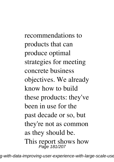recommendations to products that can produce optimal strategies for meeting concrete business objectives. We already know how to build these products: they've been in use for the past decade or so, but they're not as common as they should be. This report shows how<br>Page 181/207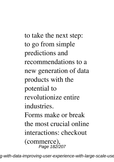to take the next step: to go from simple predictions and recommendations to a new generation of data products with the potential to revolutionize entire industries. Forms make or break the most crucial online interactions: checkout (commerce), Page 182/207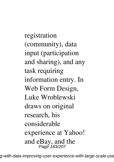registration (community), data input (participation and sharing), and any task requiring information entry. In Web Form Design, Luke Wroblewski draws on original research, his considerable experience at Yahoo! and eBay, and the Page 183/207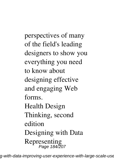perspectives of many of the field's leading designers to show you everything you need to know about designing effective and engaging Web forms. Health Design Thinking, second edition Designing with Data Representing Page 184/207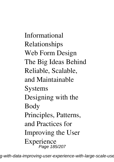Informational Relationships Web Form Design The Big Ideas Behind Reliable, Scalable, and Maintainable Systems Designing with the Body Principles, Patterns, and Practices for Improving the User Experience Page 185/207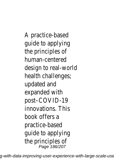A practice-based guide to applying the principles of human-centered design to real-world health challenges; updated and expanded with post–COVID-19 innovations. This book offers a practice-based guide to applying the principles of Page 186/207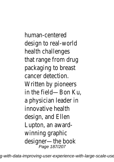human-centered design to real-work health challenges that range from drug packaging to breast cancer detection. Written by pioneers in the field—Bon Ku, a physician leader in innovative health design, and Ellen Lupton, an awardwinning graphic designer—the book Page 187/207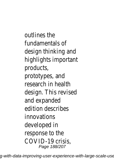outlines the fundamentals of design thinking and highlights important products, prototypes, and research in health design. This revised and expanded edition describes innovations developed in response to the COVID-19 crisis, Page 188/207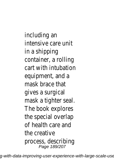including an intensive care unit in a shipping container, a rolling cart with intubation equipment, and  $\varepsilon$ mask brace that gives a surgical mask a tighter seal. The book explores the special overlap of health care and the creative process, describing Page 189/207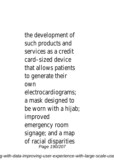the development of such products and services as a credit card–sized device that allows patients to generate their own electrocardiograms; a mask designed to be worn with a hijab; improved emergency room signage; and a map of racial disparities Page 190/207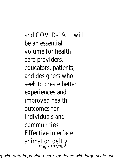and COVID-19. It will be an essential volume for health care providers, educators, patients, and designers who seek to create better experiences and improved health outcomes for individuals and communities. Effective interface animation deftly Page 191/207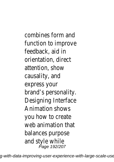combines form and function to improve feedback, aid in orientation, direct attention, show causality, and express your brand's personality. Designing Interface Animation shows you how to create web animation that balances purpose and style while Page 192/207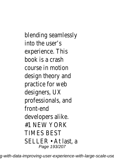blending seamlessly into the user's experience. This book is a crash course in motion design theory and practice for web designers, UX professionals, and front-end developers alike. #1 NEW YORK TIMES BEST SELLER • At last, a Page 193/207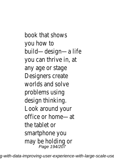book that shows you how to build—design—a life you can thrive in, at any age or stage Designers create worlds and solve problems using design thinking. Look around your office or home—at the tablet or smartphone you may be holding or Page 194/207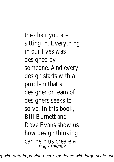the chair you are sitting in. Everything in our lives was designed by someone. And every design starts with a problem that a designer or team of designers seeks to solve. In this book, Bill Burnett and Dave Evans show us how design thinking can help us create a<br>Page 195/207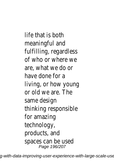life that is both meaningful and fulfilling, regardless of who or where we are, what we do or have done for a living, or how young or old we are. The same design thinking responsible for amazing technology, products, and spaces can be used Page 196/207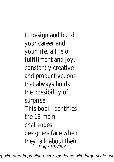to design and build your career and your life, a life of fulfillment and joy, constantly creative and productive, one that always holds the possibility of surprise. This book identifies the 13 main challenges designers face when they talk about thei<br>Page 197/207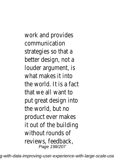work and provides communication strategies so that a better design, not a louder argument, is what makes it into the world. It is a fact that we all want to put great design into the world, but no product ever makes it out of the building without rounds of reviews, feedback, Page 198/207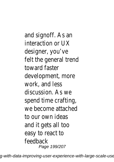and signoff. As an interaction or UX designer, you've felt the general trend toward faster development, more work, and less discussion. As we spend time crafting, we become attached to our own ideas and it gets all too easy to react to feedback Page 199/207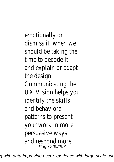emotionally or dismiss it, when we should be taking the time to decode it and explain or adapt the design. Communicating the UX Vision helps you identify the skills and behavioral patterns to present your work in more persuasive ways, and respond more Page 200/207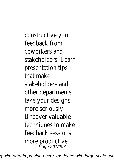constructively to feedback from coworkers and stakeholders. Learn presentation tips that make stakeholders and other departments take your designs more seriously Uncover valuable techniques to make feedback sessions more productive Page 201/207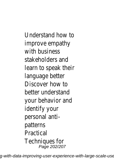Understand how to improve empathy with business stakeholders and learn to speak their language better Discover how to better understand your behavior and identify your personal antipatterns Practical Techniques for Page 202/207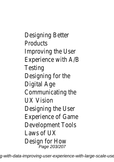Designing Better **Products** Improving the User Experience with A/B Testing Designing for the Digital Age Communicating the UX Vision Designing the User Experience of Game Development Tools Laws of UX Design for How Page 203/207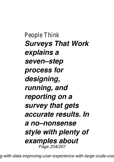People Think *Surveys That Work explains a seven–step process for designing, running, and reporting on a survey that gets accurate results. In a no–nonsense style with plenty of examples about* Page 204/207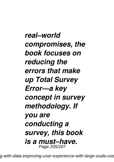*real–world compromises, the book focuses on reducing the errors that make up Total Survey Error—a key concept in survey methodology. If you are conducting a survey, this book is a must–have.* Page 205/207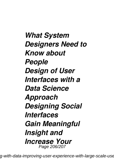*What System Designers Need to Know about People Design of User Interfaces with a Data Science Approach Designing Social Interfaces Gain Meaningful Insight and Increase Your* Page 206/207